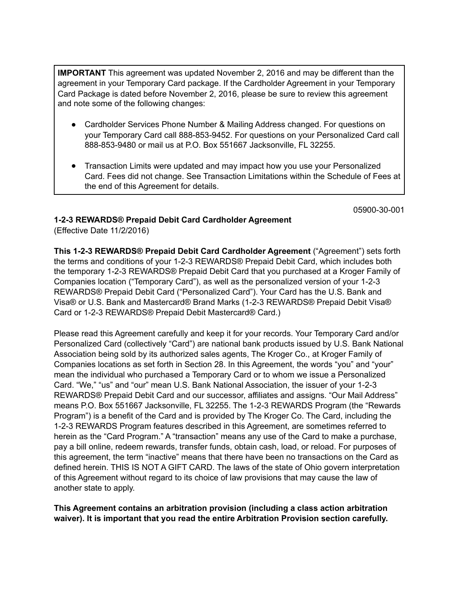**IMPORTANT** This agreement was updated November 2, 2016 and may be different than the agreement in your Temporary Card package. If the Cardholder Agreement in your Temporary Card Package is dated before November 2, 2016, please be sure to review this agreement and note some of the following changes:

- Cardholder Services Phone Number & Mailing Address changed. For questions on your Temporary Card call 888-853-9452. For questions on your Personalized Card call 888-853-9480 or mail us at P.O. Box 551667 Jacksonville, FL 32255.
- Transaction Limits were updated and may impact how you use your Personalized Card. Fees did not change. See Transaction Limitations within the Schedule of Fees at the end of this Agreement for details.

05900-30-001

# **1-2-3 REWARDS® Prepaid Debit Card Cardholder Agreement**

(Effective Date 11/2/2016)

**This 1-2-3 REWARDS® Prepaid Debit Card Cardholder Agreement** ("Agreement") sets forth the terms and conditions of your 1-2-3 REWARDS® Prepaid Debit Card, which includes both the temporary 1-2-3 REWARDS® Prepaid Debit Card that you purchased at a Kroger Family of Companies location ("Temporary Card"), as well as the personalized version of your 1-2-3 REWARDS® Prepaid Debit Card ("Personalized Card"). Your Card has the U.S. Bank and Visa® or U.S. Bank and Mastercard® Brand Marks (1-2-3 REWARDS® Prepaid Debit Visa® Card or 1-2-3 REWARDS® Prepaid Debit Mastercard® Card.)

Please read this Agreement carefully and keep it for your records. Your Temporary Card and/or Personalized Card (collectively "Card") are national bank products issued by U.S. Bank National Association being sold by its authorized sales agents, The Kroger Co., at Kroger Family of Companies locations as set forth in Section 28. In this Agreement, the words "you" and "your" mean the individual who purchased a Temporary Card or to whom we issue a Personalized Card. "We," "us" and "our" mean U.S. Bank National Association, the issuer of your 1-2-3 REWARDS® Prepaid Debit Card and our successor, affiliates and assigns. "Our Mail Address" means P.O. Box 551667 Jacksonville, FL 32255. The 1-2-3 REWARDS Program (the "Rewards Program") is a benefit of the Card and is provided by The Kroger Co. The Card, including the 1-2-3 REWARDS Program features described in this Agreement, are sometimes referred to herein as the "Card Program." A "transaction" means any use of the Card to make a purchase, pay a bill online, redeem rewards, transfer funds, obtain cash, load, or reload. For purposes of this agreement, the term "inactive" means that there have been no transactions on the Card as defined herein. THIS IS NOT A GIFT CARD. The laws of the state of Ohio govern interpretation of this Agreement without regard to its choice of law provisions that may cause the law of another state to apply.

**This Agreement contains an arbitration provision (including a class action arbitration waiver). It is important that you read the entire Arbitration Provision section carefully.**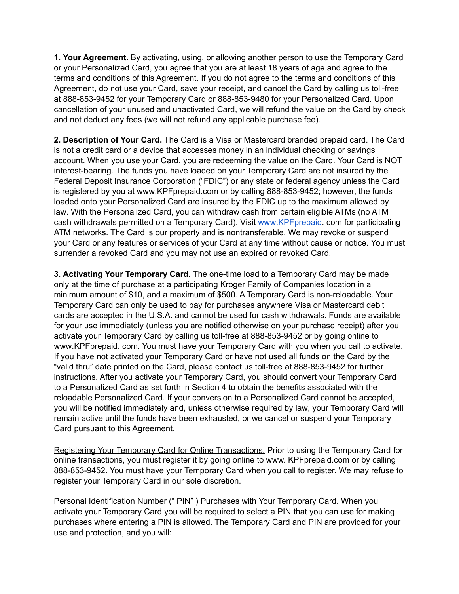**1. Your Agreement.** By activating, using, or allowing another person to use the Temporary Card or your Personalized Card, you agree that you are at least 18 years of age and agree to the terms and conditions of this Agreement. If you do not agree to the terms and conditions of this Agreement, do not use your Card, save your receipt, and cancel the Card by calling us toll-free at 888-853-9452 for your Temporary Card or 888-853-9480 for your Personalized Card. Upon cancellation of your unused and unactivated Card, we will refund the value on the Card by check and not deduct any fees (we will not refund any applicable purchase fee).

**2. Description of Your Card.** The Card is a Visa or Mastercard branded prepaid card. The Card is not a credit card or a device that accesses money in an individual checking or savings account. When you use your Card, you are redeeming the value on the Card. Your Card is NOT interest-bearing. The funds you have loaded on your Temporary Card are not insured by the Federal Deposit Insurance Corporation ("FDIC") or any state or federal agency unless the Card is registered by you at www.KPFprepaid.com or by calling 888-853-9452; however, the funds loaded onto your Personalized Card are insured by the FDIC up to the maximum allowed by law. With the Personalized Card, you can withdraw cash from certain eligible ATMs (no ATM cash withdrawals permitted on a Temporary Card). Visit [www.KPFprepaid](http://www.kpfprepaid). com for participating ATM networks. The Card is our property and is nontransferable. We may revoke or suspend your Card or any features or services of your Card at any time without cause or notice. You must surrender a revoked Card and you may not use an expired or revoked Card.

**3. Activating Your Temporary Card.** The one-time load to a Temporary Card may be made only at the time of purchase at a participating Kroger Family of Companies location in a minimum amount of \$10, and a maximum of \$500. A Temporary Card is non-reloadable. Your Temporary Card can only be used to pay for purchases anywhere Visa or Mastercard debit cards are accepted in the U.S.A. and cannot be used for cash withdrawals. Funds are available for your use immediately (unless you are notified otherwise on your purchase receipt) after you activate your Temporary Card by calling us toll-free at 888-853-9452 or by going online to www.KPFprepaid. com. You must have your Temporary Card with you when you call to activate. If you have not activated your Temporary Card or have not used all funds on the Card by the "valid thru" date printed on the Card, please contact us toll-free at 888-853-9452 for further instructions. After you activate your Temporary Card, you should convert your Temporary Card to a Personalized Card as set forth in Section 4 to obtain the benefits associated with the reloadable Personalized Card. If your conversion to a Personalized Card cannot be accepted, you will be notified immediately and, unless otherwise required by law, your Temporary Card will remain active until the funds have been exhausted, or we cancel or suspend your Temporary Card pursuant to this Agreement.

Registering Your Temporary Card for Online Transactions. Prior to using the Temporary Card for online transactions, you must register it by going online to www. KPFprepaid.com or by calling 888-853-9452. You must have your Temporary Card when you call to register. We may refuse to register your Temporary Card in our sole discretion.

Personal Identification Number (" PIN") Purchases with Your Temporary Card. When you activate your Temporary Card you will be required to select a PIN that you can use for making purchases where entering a PIN is allowed. The Temporary Card and PIN are provided for your use and protection, and you will: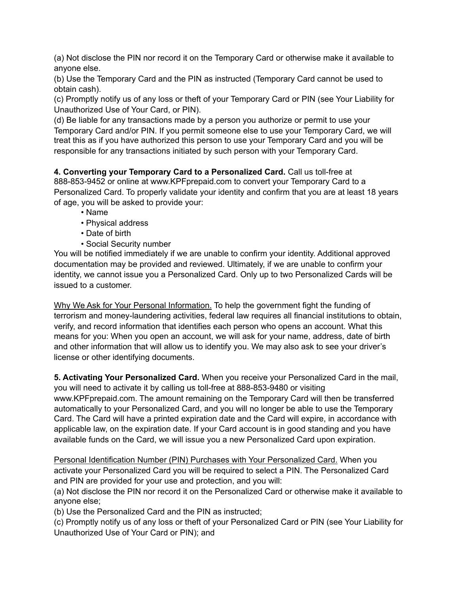(a) Not disclose the PIN nor record it on the Temporary Card or otherwise make it available to anyone else.

(b) Use the Temporary Card and the PIN as instructed (Temporary Card cannot be used to obtain cash).

(c) Promptly notify us of any loss or theft of your Temporary Card or PIN (see Your Liability for Unauthorized Use of Your Card, or PIN).

(d) Be liable for any transactions made by a person you authorize or permit to use your Temporary Card and/or PIN. If you permit someone else to use your Temporary Card, we will treat this as if you have authorized this person to use your Temporary Card and you will be responsible for any transactions initiated by such person with your Temporary Card.

**4. Converting your Temporary Card to a Personalized Card.** Call us toll-free at 888-853-9452 or online at www.KPFprepaid.com to convert your Temporary Card to a Personalized Card. To properly validate your identity and confirm that you are at least 18 years of age, you will be asked to provide your:

- Name
- Physical address
- Date of birth
- Social Security number

You will be notified immediately if we are unable to confirm your identity. Additional approved documentation may be provided and reviewed. Ultimately, if we are unable to confirm your identity, we cannot issue you a Personalized Card. Only up to two Personalized Cards will be issued to a customer.

Why We Ask for Your Personal Information. To help the government fight the funding of terrorism and money-laundering activities, federal law requires all financial institutions to obtain, verify, and record information that identifies each person who opens an account. What this means for you: When you open an account, we will ask for your name, address, date of birth and other information that will allow us to identify you. We may also ask to see your driver's license or other identifying documents.

**5. Activating Your Personalized Card.** When you receive your Personalized Card in the mail, you will need to activate it by calling us toll-free at 888-853-9480 or visiting www.KPFprepaid.com. The amount remaining on the Temporary Card will then be transferred automatically to your Personalized Card, and you will no longer be able to use the Temporary Card. The Card will have a printed expiration date and the Card will expire, in accordance with applicable law, on the expiration date. If your Card account is in good standing and you have available funds on the Card, we will issue you a new Personalized Card upon expiration.

Personal Identification Number (PIN) Purchases with Your Personalized Card. When you activate your Personalized Card you will be required to select a PIN. The Personalized Card and PIN are provided for your use and protection, and you will:

(a) Not disclose the PIN nor record it on the Personalized Card or otherwise make it available to anyone else;

(b) Use the Personalized Card and the PIN as instructed;

(c) Promptly notify us of any loss or theft of your Personalized Card or PIN (see Your Liability for Unauthorized Use of Your Card or PIN); and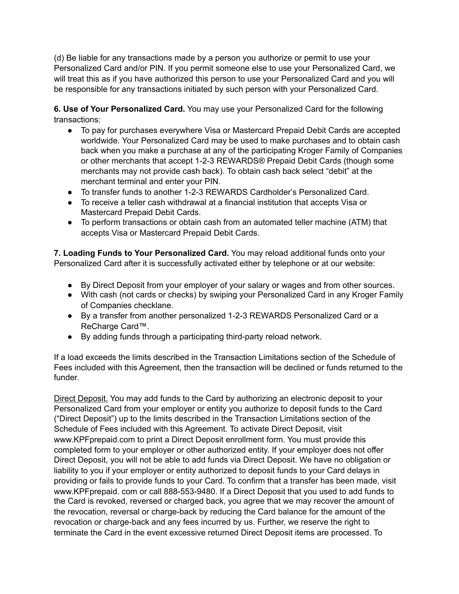(d) Be liable for any transactions made by a person you authorize or permit to use your Personalized Card and/or PIN. If you permit someone else to use your Personalized Card, we will treat this as if you have authorized this person to use your Personalized Card and you will be responsible for any transactions initiated by such person with your Personalized Card.

**6. Use of Your Personalized Card.** You may use your Personalized Card for the following transactions:

- To pay for purchases everywhere Visa or Mastercard Prepaid Debit Cards are accepted worldwide. Your Personalized Card may be used to make purchases and to obtain cash back when you make a purchase at any of the participating Kroger Family of Companies or other merchants that accept 1-2-3 REWARDS® Prepaid Debit Cards (though some merchants may not provide cash back). To obtain cash back select "debit" at the merchant terminal and enter your PIN.
- To transfer funds to another 1-2-3 REWARDS Cardholder's Personalized Card.
- To receive a teller cash withdrawal at a financial institution that accepts Visa or Mastercard Prepaid Debit Cards.
- To perform transactions or obtain cash from an automated teller machine (ATM) that accepts Visa or Mastercard Prepaid Debit Cards.

**7. Loading Funds to Your Personalized Card.** You may reload additional funds onto your Personalized Card after it is successfully activated either by telephone or at our website:

- By Direct Deposit from your employer of your salary or wages and from other sources.
- With cash (not cards or checks) by swiping your Personalized Card in any Kroger Family of Companies checklane.
- By a transfer from another personalized 1-2-3 REWARDS Personalized Card or a ReCharge Card™.
- By adding funds through a participating third-party reload network.

If a load exceeds the limits described in the Transaction Limitations section of the Schedule of Fees included with this Agreement, then the transaction will be declined or funds returned to the funder.

Direct Deposit. You may add funds to the Card by authorizing an electronic deposit to your Personalized Card from your employer or entity you authorize to deposit funds to the Card ("Direct Deposit") up to the limits described in the Transaction Limitations section of the Schedule of Fees included with this Agreement. To activate Direct Deposit, visit www.KPFprepaid.com to print a Direct Deposit enrollment form. You must provide this completed form to your employer or other authorized entity. If your employer does not offer Direct Deposit, you will not be able to add funds via Direct Deposit. We have no obligation or liability to you if your employer or entity authorized to deposit funds to your Card delays in providing or fails to provide funds to your Card. To confirm that a transfer has been made, visit www.KPFprepaid. com or call 888-553-9480. If a Direct Deposit that you used to add funds to the Card is revoked, reversed or charged back, you agree that we may recover the amount of the revocation, reversal or charge-back by reducing the Card balance for the amount of the revocation or charge-back and any fees incurred by us. Further, we reserve the right to terminate the Card in the event excessive returned Direct Deposit items are processed. To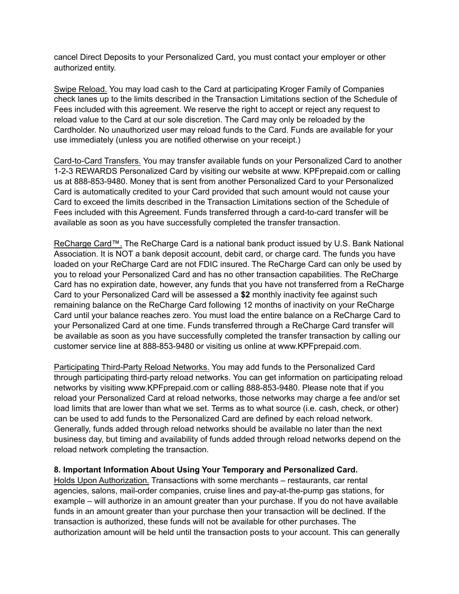cancel Direct Deposits to your Personalized Card, you must contact your employer or other authorized entity.

Swipe Reload. You may load cash to the Card at participating Kroger Family of Companies check lanes up to the limits described in the Transaction Limitations section of the Schedule of Fees included with this agreement. We reserve the right to accept or reject any request to reload value to the Card at our sole discretion. The Card may only be reloaded by the Cardholder. No unauthorized user may reload funds to the Card. Funds are available for your use immediately (unless you are notified otherwise on your receipt.)

Card-to-Card Transfers. You may transfer available funds on your Personalized Card to another 1-2-3 REWARDS Personalized Card by visiting our website at www. KPFprepaid.com or calling us at 888-853-9480. Money that is sent from another Personalized Card to your Personalized Card is automatically credited to your Card provided that such amount would not cause your Card to exceed the limits described in the Transaction Limitations section of the Schedule of Fees included with this Agreement. Funds transferred through a card-to-card transfer will be available as soon as you have successfully completed the transfer transaction.

ReCharge Card™. The ReCharge Card is a national bank product issued by U.S. Bank National Association. It is NOT a bank deposit account, debit card, or charge card. The funds you have loaded on your ReCharge Card are not FDIC insured. The ReCharge Card can only be used by you to reload your Personalized Card and has no other transaction capabilities. The ReCharge Card has no expiration date, however, any funds that you have not transferred from a ReCharge Card to your Personalized Card will be assessed a **\$2** monthly inactivity fee against such remaining balance on the ReCharge Card following 12 months of inactivity on your ReCharge Card until your balance reaches zero. You must load the entire balance on a ReCharge Card to your Personalized Card at one time. Funds transferred through a ReCharge Card transfer will be available as soon as you have successfully completed the transfer transaction by calling our customer service line at 888-853-9480 or visiting us online at www.KPFprepaid.com.

Participating Third-Party Reload Networks. You may add funds to the Personalized Card through participating third-party reload networks. You can get information on participating reload networks by visiting www.KPFprepaid.com or calling 888-853-9480. Please note that if you reload your Personalized Card at reload networks, those networks may charge a fee and/or set load limits that are lower than what we set. Terms as to what source (i.e. cash, check, or other) can be used to add funds to the Personalized Card are defined by each reload network. Generally, funds added through reload networks should be available no later than the next business day, but timing and availability of funds added through reload networks depend on the reload network completing the transaction.

### **8. Important Information About Using Your Temporary and Personalized Card.**

Holds Upon Authorization. Transactions with some merchants – restaurants, car rental agencies, salons, mail-order companies, cruise lines and pay-at-the-pump gas stations, for example – will authorize in an amount greater than your purchase. If you do not have available funds in an amount greater than your purchase then your transaction will be declined. If the transaction is authorized, these funds will not be available for other purchases. The authorization amount will be held until the transaction posts to your account. This can generally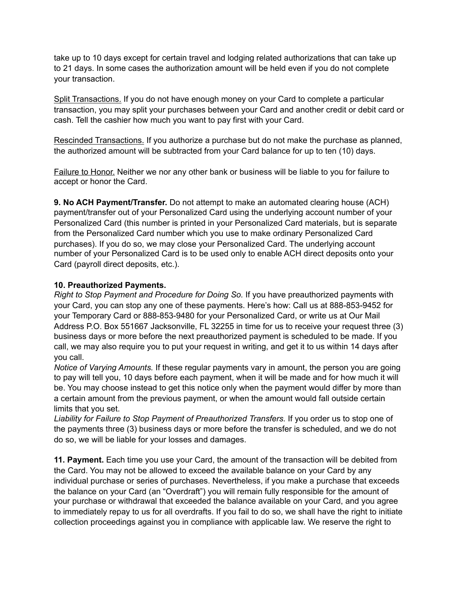take up to 10 days except for certain travel and lodging related authorizations that can take up to 21 days. In some cases the authorization amount will be held even if you do not complete your transaction.

Split Transactions. If you do not have enough money on your Card to complete a particular transaction, you may split your purchases between your Card and another credit or debit card or cash. Tell the cashier how much you want to pay first with your Card.

Rescinded Transactions. If you authorize a purchase but do not make the purchase as planned, the authorized amount will be subtracted from your Card balance for up to ten (10) days.

Failure to Honor. Neither we nor any other bank or business will be liable to you for failure to accept or honor the Card.

**9. No ACH Payment/Transfer.** Do not attempt to make an automated clearing house (ACH) payment/transfer out of your Personalized Card using the underlying account number of your Personalized Card (this number is printed in your Personalized Card materials, but is separate from the Personalized Card number which you use to make ordinary Personalized Card purchases). If you do so, we may close your Personalized Card. The underlying account number of your Personalized Card is to be used only to enable ACH direct deposits onto your Card (payroll direct deposits, etc.).

## **10. Preauthorized Payments.**

*Right to Stop Payment and Procedure for Doing So.* If you have preauthorized payments with your Card, you can stop any one of these payments. Here's how: Call us at 888-853-9452 for your Temporary Card or 888-853-9480 for your Personalized Card, or write us at Our Mail Address P.O. Box 551667 Jacksonville, FL 32255 in time for us to receive your request three (3) business days or more before the next preauthorized payment is scheduled to be made. If you call, we may also require you to put your request in writing, and get it to us within 14 days after you call.

*Notice of Varying Amounts.* If these regular payments vary in amount, the person you are going to pay will tell you, 10 days before each payment, when it will be made and for how much it will be. You may choose instead to get this notice only when the payment would differ by more than a certain amount from the previous payment, or when the amount would fall outside certain limits that you set.

*Liability for Failure to Stop Payment of Preauthorized Transfers.* If you order us to stop one of the payments three (3) business days or more before the transfer is scheduled, and we do not do so, we will be liable for your losses and damages.

**11. Payment.** Each time you use your Card, the amount of the transaction will be debited from the Card. You may not be allowed to exceed the available balance on your Card by any individual purchase or series of purchases. Nevertheless, if you make a purchase that exceeds the balance on your Card (an "Overdraft") you will remain fully responsible for the amount of your purchase or withdrawal that exceeded the balance available on your Card, and you agree to immediately repay to us for all overdrafts. If you fail to do so, we shall have the right to initiate collection proceedings against you in compliance with applicable law. We reserve the right to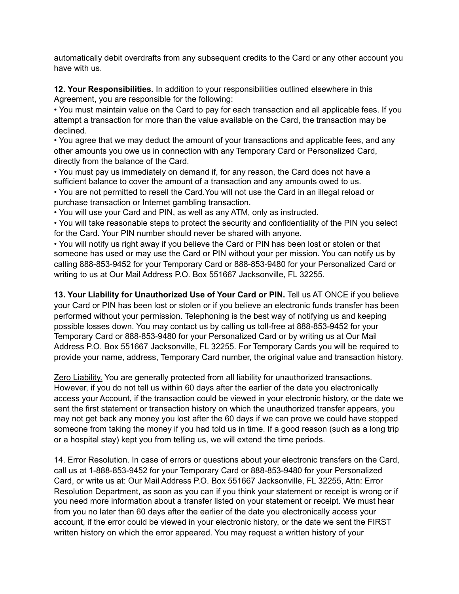automatically debit overdrafts from any subsequent credits to the Card or any other account you have with us.

**12. Your Responsibilities.** In addition to your responsibilities outlined elsewhere in this Agreement, you are responsible for the following:

• You must maintain value on the Card to pay for each transaction and all applicable fees. If you attempt a transaction for more than the value available on the Card, the transaction may be declined.

• You agree that we may deduct the amount of your transactions and applicable fees, and any other amounts you owe us in connection with any Temporary Card or Personalized Card, directly from the balance of the Card.

• You must pay us immediately on demand if, for any reason, the Card does not have a sufficient balance to cover the amount of a transaction and any amounts owed to us.

• You are not permitted to resell the Card.You will not use the Card in an illegal reload or purchase transaction or Internet gambling transaction.

• You will use your Card and PIN, as well as any ATM, only as instructed.

• You will take reasonable steps to protect the security and confidentiality of the PIN you select for the Card. Your PIN number should never be shared with anyone.

• You will notify us right away if you believe the Card or PIN has been lost or stolen or that someone has used or may use the Card or PIN without your per mission. You can notify us by calling 888-853-9452 for your Temporary Card or 888-853-9480 for your Personalized Card or writing to us at Our Mail Address P.O. Box 551667 Jacksonville, FL 32255.

**13. Your Liability for Unauthorized Use of Your Card or PIN.** Tell us AT ONCE if you believe your Card or PIN has been lost or stolen or if you believe an electronic funds transfer has been performed without your permission. Telephoning is the best way of notifying us and keeping possible losses down. You may contact us by calling us toll-free at 888-853-9452 for your Temporary Card or 888-853-9480 for your Personalized Card or by writing us at Our Mail Address P.O. Box 551667 Jacksonville, FL 32255. For Temporary Cards you will be required to provide your name, address, Temporary Card number, the original value and transaction history.

Zero Liability. You are generally protected from all liability for unauthorized transactions. However, if you do not tell us within 60 days after the earlier of the date you electronically access your Account, if the transaction could be viewed in your electronic history, or the date we sent the first statement or transaction history on which the unauthorized transfer appears, you may not get back any money you lost after the 60 days if we can prove we could have stopped someone from taking the money if you had told us in time. If a good reason (such as a long trip or a hospital stay) kept you from telling us, we will extend the time periods.

14. Error Resolution. In case of errors or questions about your electronic transfers on the Card, call us at 1-888-853-9452 for your Temporary Card or 888-853-9480 for your Personalized Card, or write us at: Our Mail Address P.O. Box 551667 Jacksonville, FL 32255, Attn: Error Resolution Department, as soon as you can if you think your statement or receipt is wrong or if you need more information about a transfer listed on your statement or receipt. We must hear from you no later than 60 days after the earlier of the date you electronically access your account, if the error could be viewed in your electronic history, or the date we sent the FIRST written history on which the error appeared. You may request a written history of your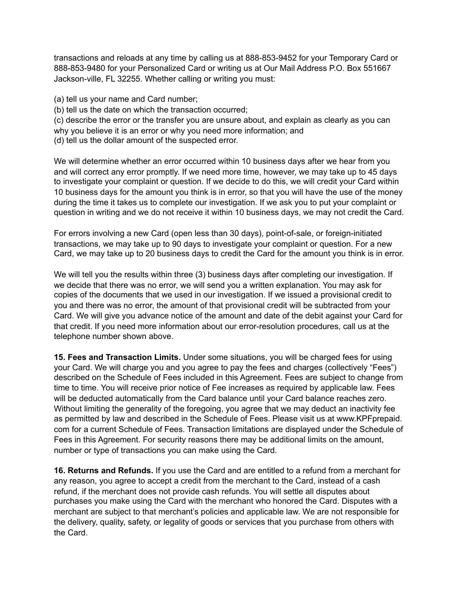transactions and reloads at any time by calling us at 888-853-9452 for your Temporary Card or 888-853-9480 for your Personalized Card or writing us at Our Mail Address P.O. Box 551667 Jackson-ville, FL 32255. Whether calling or writing you must:

- (a) tell us your name and Card number;
- (b) tell us the date on which the transaction occurred;
- (c) describe the error or the transfer you are unsure about, and explain as clearly as you can
- why you believe it is an error or why you need more information; and
- (d) tell us the dollar amount of the suspected error.

We will determine whether an error occurred within 10 business days after we hear from you and will correct any error promptly. If we need more time, however, we may take up to 45 days to investigate your complaint or question. If we decide to do this, we will credit your Card within 10 business days for the amount you think is in error, so that you will have the use of the money during the time it takes us to complete our investigation. If we ask you to put your complaint or question in writing and we do not receive it within 10 business days, we may not credit the Card.

For errors involving a new Card (open less than 30 days), point-of-sale, or foreign-initiated transactions, we may take up to 90 days to investigate your complaint or question. For a new Card, we may take up to 20 business days to credit the Card for the amount you think is in error.

We will tell you the results within three (3) business days after completing our investigation. If we decide that there was no error, we will send you a written explanation. You may ask for copies of the documents that we used in our investigation. If we issued a provisional credit to you and there was no error, the amount of that provisional credit will be subtracted from your Card. We will give you advance notice of the amount and date of the debit against your Card for that credit. If you need more information about our error-resolution procedures, call us at the telephone number shown above.

**15. Fees and Transaction Limits.** Under some situations, you will be charged fees for using your Card. We will charge you and you agree to pay the fees and charges (collectively "Fees") described on the Schedule of Fees included in this Agreement. Fees are subject to change from time to time. You will receive prior notice of Fee increases as required by applicable law. Fees will be deducted automatically from the Card balance until your Card balance reaches zero. Without limiting the generality of the foregoing, you agree that we may deduct an inactivity fee as permitted by law and described in the Schedule of Fees. Please visit us at www.KPFprepaid. com for a current Schedule of Fees. Transaction limitations are displayed under the Schedule of Fees in this Agreement. For security reasons there may be additional limits on the amount, number or type of transactions you can make using the Card.

**16. Returns and Refunds.** If you use the Card and are entitled to a refund from a merchant for any reason, you agree to accept a credit from the merchant to the Card, instead of a cash refund, if the merchant does not provide cash refunds. You will settle all disputes about purchases you make using the Card with the merchant who honored the Card. Disputes with a merchant are subject to that merchant's policies and applicable law. We are not responsible for the delivery, quality, safety, or legality of goods or services that you purchase from others with the Card.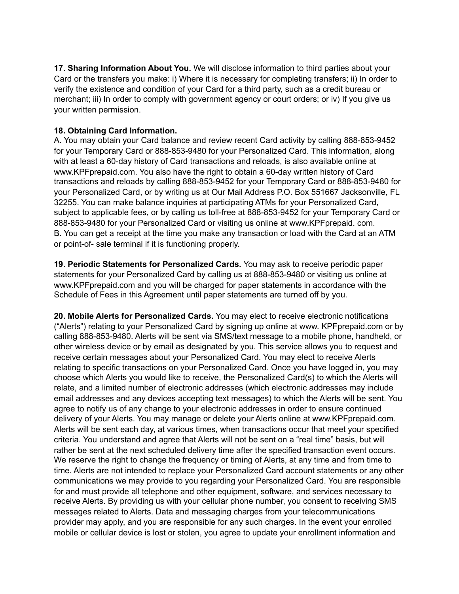**17. Sharing Information About You.** We will disclose information to third parties about your Card or the transfers you make: i) Where it is necessary for completing transfers; ii) In order to verify the existence and condition of your Card for a third party, such as a credit bureau or merchant; iii) In order to comply with government agency or court orders; or iv) If you give us your written permission.

### **18. Obtaining Card Information.**

A. You may obtain your Card balance and review recent Card activity by calling 888-853-9452 for your Temporary Card or 888-853-9480 for your Personalized Card. This information, along with at least a 60-day history of Card transactions and reloads, is also available online at www.KPFprepaid.com. You also have the right to obtain a 60-day written history of Card transactions and reloads by calling 888-853-9452 for your Temporary Card or 888-853-9480 for your Personalized Card, or by writing us at Our Mail Address P.O. Box 551667 Jacksonville, FL 32255. You can make balance inquiries at participating ATMs for your Personalized Card, subject to applicable fees, or by calling us toll-free at 888-853-9452 for your Temporary Card or 888-853-9480 for your Personalized Card or visiting us online at www.KPFprepaid. com. B. You can get a receipt at the time you make any transaction or load with the Card at an ATM or point-of- sale terminal if it is functioning properly.

**19. Periodic Statements for Personalized Cards.** You may ask to receive periodic paper statements for your Personalized Card by calling us at 888-853-9480 or visiting us online at www.KPFprepaid.com and you will be charged for paper statements in accordance with the Schedule of Fees in this Agreement until paper statements are turned off by you.

**20. Mobile Alerts for Personalized Cards.** You may elect to receive electronic notifications ("Alerts") relating to your Personalized Card by signing up online at www. KPFprepaid.com or by calling 888-853-9480. Alerts will be sent via SMS/text message to a mobile phone, handheld, or other wireless device or by email as designated by you. This service allows you to request and receive certain messages about your Personalized Card. You may elect to receive Alerts relating to specific transactions on your Personalized Card. Once you have logged in, you may choose which Alerts you would like to receive, the Personalized Card(s) to which the Alerts will relate, and a limited number of electronic addresses (which electronic addresses may include email addresses and any devices accepting text messages) to which the Alerts will be sent. You agree to notify us of any change to your electronic addresses in order to ensure continued delivery of your Alerts. You may manage or delete your Alerts online at www.KPFprepaid.com. Alerts will be sent each day, at various times, when transactions occur that meet your specified criteria. You understand and agree that Alerts will not be sent on a "real time" basis, but will rather be sent at the next scheduled delivery time after the specified transaction event occurs. We reserve the right to change the frequency or timing of Alerts, at any time and from time to time. Alerts are not intended to replace your Personalized Card account statements or any other communications we may provide to you regarding your Personalized Card. You are responsible for and must provide all telephone and other equipment, software, and services necessary to receive Alerts. By providing us with your cellular phone number, you consent to receiving SMS messages related to Alerts. Data and messaging charges from your telecommunications provider may apply, and you are responsible for any such charges. In the event your enrolled mobile or cellular device is lost or stolen, you agree to update your enrollment information and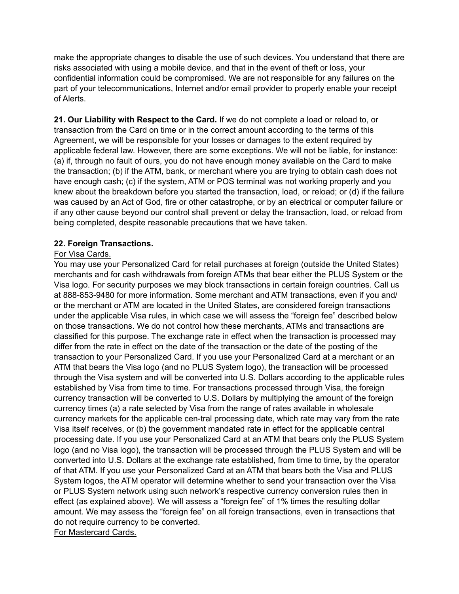make the appropriate changes to disable the use of such devices. You understand that there are risks associated with using a mobile device, and that in the event of theft or loss, your confidential information could be compromised. We are not responsible for any failures on the part of your telecommunications, Internet and/or email provider to properly enable your receipt of Alerts.

**21. Our Liability with Respect to the Card.** If we do not complete a load or reload to, or transaction from the Card on time or in the correct amount according to the terms of this Agreement, we will be responsible for your losses or damages to the extent required by applicable federal law. However, there are some exceptions. We will not be liable, for instance: (a) if, through no fault of ours, you do not have enough money available on the Card to make the transaction; (b) if the ATM, bank, or merchant where you are trying to obtain cash does not have enough cash; (c) if the system, ATM or POS terminal was not working properly and you knew about the breakdown before you started the transaction, load, or reload; or (d) if the failure was caused by an Act of God, fire or other catastrophe, or by an electrical or computer failure or if any other cause beyond our control shall prevent or delay the transaction, load, or reload from being completed, despite reasonable precautions that we have taken.

## **22. Foreign Transactions.**

## For Visa Cards.

You may use your Personalized Card for retail purchases at foreign (outside the United States) merchants and for cash withdrawals from foreign ATMs that bear either the PLUS System or the Visa logo. For security purposes we may block transactions in certain foreign countries. Call us at 888-853-9480 for more information. Some merchant and ATM transactions, even if you and/ or the merchant or ATM are located in the United States, are considered foreign transactions under the applicable Visa rules, in which case we will assess the "foreign fee" described below on those transactions. We do not control how these merchants, ATMs and transactions are classified for this purpose. The exchange rate in effect when the transaction is processed may differ from the rate in effect on the date of the transaction or the date of the posting of the transaction to your Personalized Card. If you use your Personalized Card at a merchant or an ATM that bears the Visa logo (and no PLUS System logo), the transaction will be processed through the Visa system and will be converted into U.S. Dollars according to the applicable rules established by Visa from time to time. For transactions processed through Visa, the foreign currency transaction will be converted to U.S. Dollars by multiplying the amount of the foreign currency times (a) a rate selected by Visa from the range of rates available in wholesale currency markets for the applicable cen-tral processing date, which rate may vary from the rate Visa itself receives, or (b) the government mandated rate in effect for the applicable central processing date. If you use your Personalized Card at an ATM that bears only the PLUS System logo (and no Visa logo), the transaction will be processed through the PLUS System and will be converted into U.S. Dollars at the exchange rate established, from time to time, by the operator of that ATM. If you use your Personalized Card at an ATM that bears both the Visa and PLUS System logos, the ATM operator will determine whether to send your transaction over the Visa or PLUS System network using such network's respective currency conversion rules then in effect (as explained above). We will assess a "foreign fee" of 1% times the resulting dollar amount. We may assess the "foreign fee" on all foreign transactions, even in transactions that do not require currency to be converted. For Mastercard Cards.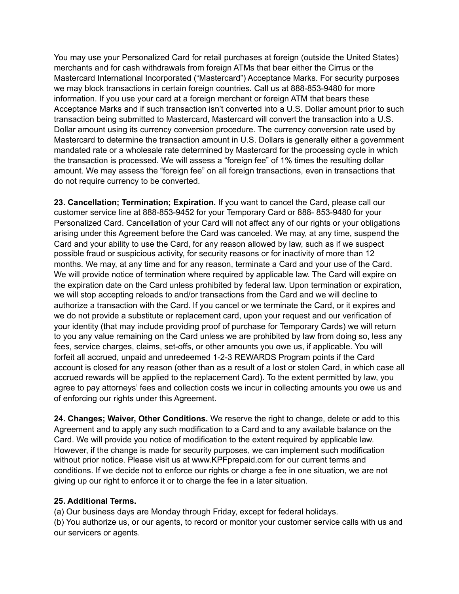You may use your Personalized Card for retail purchases at foreign (outside the United States) merchants and for cash withdrawals from foreign ATMs that bear either the Cirrus or the Mastercard International Incorporated ("Mastercard") Acceptance Marks. For security purposes we may block transactions in certain foreign countries. Call us at 888-853-9480 for more information. If you use your card at a foreign merchant or foreign ATM that bears these Acceptance Marks and if such transaction isn't converted into a U.S. Dollar amount prior to such transaction being submitted to Mastercard, Mastercard will convert the transaction into a U.S. Dollar amount using its currency conversion procedure. The currency conversion rate used by Mastercard to determine the transaction amount in U.S. Dollars is generally either a government mandated rate or a wholesale rate determined by Mastercard for the processing cycle in which the transaction is processed. We will assess a "foreign fee" of 1% times the resulting dollar amount. We may assess the "foreign fee" on all foreign transactions, even in transactions that do not require currency to be converted.

**23. Cancellation; Termination; Expiration.** If you want to cancel the Card, please call our customer service line at 888-853-9452 for your Temporary Card or 888- 853-9480 for your Personalized Card. Cancellation of your Card will not affect any of our rights or your obligations arising under this Agreement before the Card was canceled. We may, at any time, suspend the Card and your ability to use the Card, for any reason allowed by law, such as if we suspect possible fraud or suspicious activity, for security reasons or for inactivity of more than 12 months. We may, at any time and for any reason, terminate a Card and your use of the Card. We will provide notice of termination where required by applicable law. The Card will expire on the expiration date on the Card unless prohibited by federal law. Upon termination or expiration, we will stop accepting reloads to and/or transactions from the Card and we will decline to authorize a transaction with the Card. If you cancel or we terminate the Card, or it expires and we do not provide a substitute or replacement card, upon your request and our verification of your identity (that may include providing proof of purchase for Temporary Cards) we will return to you any value remaining on the Card unless we are prohibited by law from doing so, less any fees, service charges, claims, set-offs, or other amounts you owe us, if applicable. You will forfeit all accrued, unpaid and unredeemed 1-2-3 REWARDS Program points if the Card account is closed for any reason (other than as a result of a lost or stolen Card, in which case all accrued rewards will be applied to the replacement Card). To the extent permitted by law, you agree to pay attorneys' fees and collection costs we incur in collecting amounts you owe us and of enforcing our rights under this Agreement.

**24. Changes; Waiver, Other Conditions.** We reserve the right to change, delete or add to this Agreement and to apply any such modification to a Card and to any available balance on the Card. We will provide you notice of modification to the extent required by applicable law. However, if the change is made for security purposes, we can implement such modification without prior notice. Please visit us at www.KPFprepaid.com for our current terms and conditions. If we decide not to enforce our rights or charge a fee in one situation, we are not giving up our right to enforce it or to charge the fee in a later situation.

### **25. Additional Terms.**

(a) Our business days are Monday through Friday, except for federal holidays.

(b) You authorize us, or our agents, to record or monitor your customer service calls with us and our servicers or agents.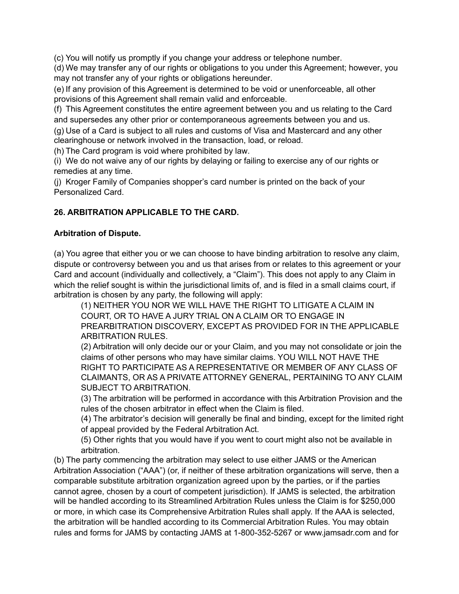(c) You will notify us promptly if you change your address or telephone number.

(d) We may transfer any of our rights or obligations to you under this Agreement; however, you may not transfer any of your rights or obligations hereunder.

(e) If any provision of this Agreement is determined to be void or unenforceable, all other provisions of this Agreement shall remain valid and enforceable.

(f) This Agreement constitutes the entire agreement between you and us relating to the Card and supersedes any other prior or contemporaneous agreements between you and us.

(g) Use of a Card is subject to all rules and customs of Visa and Mastercard and any other clearinghouse or network involved in the transaction, load, or reload.

(h) The Card program is void where prohibited by law.

(i) We do not waive any of our rights by delaying or failing to exercise any of our rights or remedies at any time.

(j) Kroger Family of Companies shopper's card number is printed on the back of your Personalized Card.

## **26. ARBITRATION APPLICABLE TO THE CARD.**

## **Arbitration of Dispute.**

(a) You agree that either you or we can choose to have binding arbitration to resolve any claim, dispute or controversy between you and us that arises from or relates to this agreement or your Card and account (individually and collectively, a "Claim"). This does not apply to any Claim in which the relief sought is within the jurisdictional limits of, and is filed in a small claims court, if arbitration is chosen by any party, the following will apply:

(1) NEITHER YOU NOR WE WILL HAVE THE RIGHT TO LITIGATE A CLAIM IN COURT, OR TO HAVE A JURY TRIAL ON A CLAIM OR TO ENGAGE IN PREARBITRATION DISCOVERY, EXCEPT AS PROVIDED FOR IN THE APPLICABLE ARBITRATION RULES.

(2) Arbitration will only decide our or your Claim, and you may not consolidate or join the claims of other persons who may have similar claims. YOU WILL NOT HAVE THE RIGHT TO PARTICIPATE AS A REPRESENTATIVE OR MEMBER OF ANY CLASS OF CLAIMANTS, OR AS A PRIVATE ATTORNEY GENERAL, PERTAINING TO ANY CLAIM SUBJECT TO ARBITRATION.

(3) The arbitration will be performed in accordance with this Arbitration Provision and the rules of the chosen arbitrator in effect when the Claim is filed.

(4) The arbitrator's decision will generally be final and binding, except for the limited right of appeal provided by the Federal Arbitration Act.

(5) Other rights that you would have if you went to court might also not be available in arbitration.

(b) The party commencing the arbitration may select to use either JAMS or the American Arbitration Association ("AAA") (or, if neither of these arbitration organizations will serve, then a comparable substitute arbitration organization agreed upon by the parties, or if the parties cannot agree, chosen by a court of competent jurisdiction). If JAMS is selected, the arbitration will be handled according to its Streamlined Arbitration Rules unless the Claim is for \$250,000 or more, in which case its Comprehensive Arbitration Rules shall apply. If the AAA is selected, the arbitration will be handled according to its Commercial Arbitration Rules. You may obtain rules and forms for JAMS by contacting JAMS at 1-800-352-5267 or www.jamsadr.com and for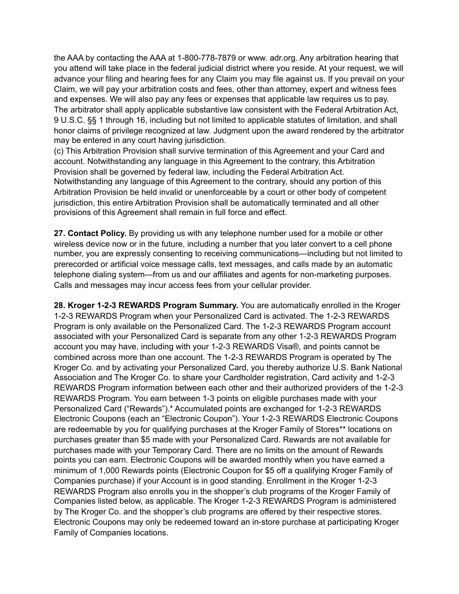the AAA by contacting the AAA at 1-800-778-7879 or www. adr.org. Any arbitration hearing that you attend will take place in the federal judicial district where you reside. At your request, we will advance your filing and hearing fees for any Claim you may file against us. If you prevail on your Claim, we will pay your arbitration costs and fees, other than attorney, expert and witness fees and expenses. We will also pay any fees or expenses that applicable law requires us to pay. The arbitrator shall apply applicable substantive law consistent with the Federal Arbitration Act, 9 U.S.C. §§ 1 through 16, including but not limited to applicable statutes of limitation, and shall honor claims of privilege recognized at law. Judgment upon the award rendered by the arbitrator may be entered in any court having jurisdiction.

(c) This Arbitration Provision shall survive termination of this Agreement and your Card and account. Notwithstanding any language in this Agreement to the contrary, this Arbitration Provision shall be governed by federal law, including the Federal Arbitration Act. Notwithstanding any language of this Agreement to the contrary, should any portion of this Arbitration Provision be held invalid or unenforceable by a court or other body of competent jurisdiction, this entire Arbitration Provision shall be automatically terminated and all other provisions of this Agreement shall remain in full force and effect.

**27. Contact Policy.** By providing us with any telephone number used for a mobile or other wireless device now or in the future, including a number that you later convert to a cell phone number, you are expressly consenting to receiving communications—including but not limited to prerecorded or artificial voice message calls, text messages, and calls made by an automatic telephone dialing system—from us and our affiliates and agents for non-marketing purposes. Calls and messages may incur access fees from your cellular provider.

**28. Kroger 1-2-3 REWARDS Program Summary.** You are automatically enrolled in the Kroger 1-2-3 REWARDS Program when your Personalized Card is activated. The 1-2-3 REWARDS Program is only available on the Personalized Card. The 1-2-3 REWARDS Program account associated with your Personalized Card is separate from any other 1-2-3 REWARDS Program account you may have, including with your 1-2-3 REWARDS Visa®, and points cannot be combined across more than one account. The 1-2-3 REWARDS Program is operated by The Kroger Co. and by activating your Personalized Card, you thereby authorize U.S. Bank National Association and The Kroger Co. to share your Cardholder registration, Card activity and 1-2-3 REWARDS Program information between each other and their authorized providers of the 1-2-3 REWARDS Program. You earn between 1-3 points on eligible purchases made with your Personalized Card ("Rewards").\* Accumulated points are exchanged for 1-2-3 REWARDS Electronic Coupons (each an "Electronic Coupon"). Your 1-2-3 REWARDS Electronic Coupons are redeemable by you for qualifying purchases at the Kroger Family of Stores\*\* locations on purchases greater than \$5 made with your Personalized Card. Rewards are not available for purchases made with your Temporary Card. There are no limits on the amount of Rewards points you can earn. Electronic Coupons will be awarded monthly when you have earned a minimum of 1,000 Rewards points (Electronic Coupon for \$5 off a qualifying Kroger Family of Companies purchase) if your Account is in good standing. Enrollment in the Kroger 1-2-3 REWARDS Program also enrolls you in the shopper's club programs of the Kroger Family of Companies listed below, as applicable. The Kroger 1-2-3 REWARDS Program is administered by The Kroger Co. and the shopper's club programs are offered by their respective stores. Electronic Coupons may only be redeemed toward an in-store purchase at participating Kroger Family of Companies locations.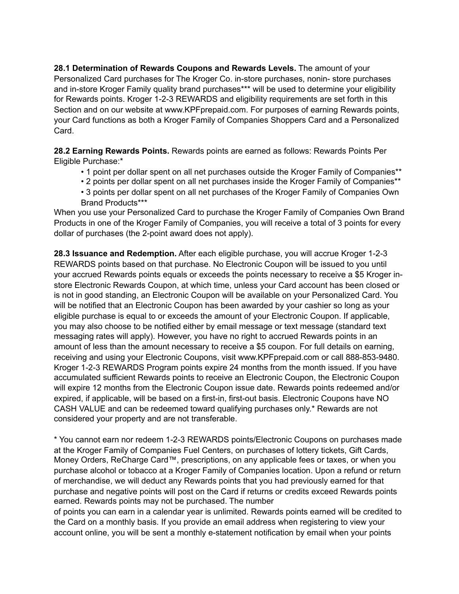**28.1 Determination of Rewards Coupons and Rewards Levels.** The amount of your Personalized Card purchases for The Kroger Co. in-store purchases, nonin- store purchases and in-store Kroger Family quality brand purchases\*\*\* will be used to determine your eligibility for Rewards points. Kroger 1-2-3 REWARDS and eligibility requirements are set forth in this Section and on our website at www.KPFprepaid.com. For purposes of earning Rewards points, your Card functions as both a Kroger Family of Companies Shoppers Card and a Personalized Card.

**28.2 Earning Rewards Points.** Rewards points are earned as follows: Rewards Points Per Eligible Purchase:\*

- 1 point per dollar spent on all net purchases outside the Kroger Family of Companies\*\*
- 2 points per dollar spent on all net purchases inside the Kroger Family of Companies\*\*
- 3 points per dollar spent on all net purchases of the Kroger Family of Companies Own Brand Products\*\*\*

When you use your Personalized Card to purchase the Kroger Family of Companies Own Brand Products in one of the Kroger Family of Companies, you will receive a total of 3 points for every dollar of purchases (the 2-point award does not apply).

**28.3 Issuance and Redemption.** After each eligible purchase, you will accrue Kroger 1-2-3 REWARDS points based on that purchase. No Electronic Coupon will be issued to you until your accrued Rewards points equals or exceeds the points necessary to receive a \$5 Kroger instore Electronic Rewards Coupon, at which time, unless your Card account has been closed or is not in good standing, an Electronic Coupon will be available on your Personalized Card. You will be notified that an Electronic Coupon has been awarded by your cashier so long as your eligible purchase is equal to or exceeds the amount of your Electronic Coupon. If applicable, you may also choose to be notified either by email message or text message (standard text messaging rates will apply). However, you have no right to accrued Rewards points in an amount of less than the amount necessary to receive a \$5 coupon. For full details on earning, receiving and using your Electronic Coupons, visit www.KPFprepaid.com or call 888-853-9480. Kroger 1-2-3 REWARDS Program points expire 24 months from the month issued. If you have accumulated sufficient Rewards points to receive an Electronic Coupon, the Electronic Coupon will expire 12 months from the Electronic Coupon issue date. Rewards points redeemed and/or expired, if applicable, will be based on a first-in, first-out basis. Electronic Coupons have NO CASH VALUE and can be redeemed toward qualifying purchases only.\* Rewards are not considered your property and are not transferable.

\* You cannot earn nor redeem 1-2-3 REWARDS points/Electronic Coupons on purchases made at the Kroger Family of Companies Fuel Centers, on purchases of lottery tickets, Gift Cards, Money Orders, ReCharge Card™, prescriptions, on any applicable fees or taxes, or when you purchase alcohol or tobacco at a Kroger Family of Companies location. Upon a refund or return of merchandise, we will deduct any Rewards points that you had previously earned for that purchase and negative points will post on the Card if returns or credits exceed Rewards points earned. Rewards points may not be purchased. The number

of points you can earn in a calendar year is unlimited. Rewards points earned will be credited to the Card on a monthly basis. If you provide an email address when registering to view your account online, you will be sent a monthly e-statement notification by email when your points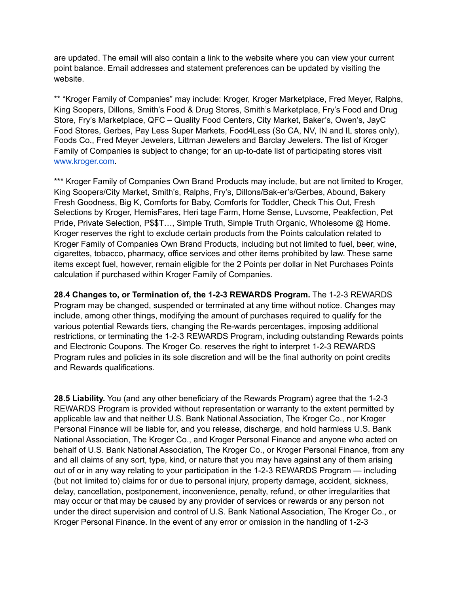are updated. The email will also contain a link to the website where you can view your current point balance. Email addresses and statement preferences can be updated by visiting the website.

\*\* "Kroger Family of Companies" may include: Kroger, Kroger Marketplace, Fred Meyer, Ralphs, King Soopers, Dillons, Smith's Food & Drug Stores, Smith's Marketplace, Fry's Food and Drug Store, Fry's Marketplace, QFC – Quality Food Centers, City Market, Baker's, Owen's, JayC Food Stores, Gerbes, Pay Less Super Markets, Food4Less (So CA, NV, IN and IL stores only), Foods Co., Fred Meyer Jewelers, Littman Jewelers and Barclay Jewelers. The list of Kroger Family of Companies is subject to change; for an up-to-date list of participating stores visi[t](http://www.kroger.com)  [www.kroger.com.](http://www.kroger.com)

\*\*\* Kroger Family of Companies Own Brand Products may include, but are not limited to Kroger, King Soopers/City Market, Smith's, Ralphs, Fry's, Dillons/Bak-er's/Gerbes, Abound, Bakery Fresh Goodness, Big K, Comforts for Baby, Comforts for Toddler, Check This Out, Fresh Selections by Kroger, HemisFares, Heri tage Farm, Home Sense, Luvsome, Peakfection, Pet Pride, Private Selection, P\$\$T…, Simple Truth, Simple Truth Organic, Wholesome @ Home. Kroger reserves the right to exclude certain products from the Points calculation related to Kroger Family of Companies Own Brand Products, including but not limited to fuel, beer, wine, cigarettes, tobacco, pharmacy, office services and other items prohibited by law. These same items except fuel, however, remain eligible for the 2 Points per dollar in Net Purchases Points calculation if purchased within Kroger Family of Companies.

**28.4 Changes to, or Termination of, the 1-2-3 REWARDS Program.** The 1-2-3 REWARDS Program may be changed, suspended or terminated at any time without notice. Changes may include, among other things, modifying the amount of purchases required to qualify for the various potential Rewards tiers, changing the Re-wards percentages, imposing additional restrictions, or terminating the 1-2-3 REWARDS Program, including outstanding Rewards points and Electronic Coupons. The Kroger Co. reserves the right to interpret 1-2-3 REWARDS Program rules and policies in its sole discretion and will be the final authority on point credits and Rewards qualifications.

**28.5 Liability.** You (and any other beneficiary of the Rewards Program) agree that the 1-2-3 REWARDS Program is provided without representation or warranty to the extent permitted by applicable law and that neither U.S. Bank National Association, The Kroger Co., nor Kroger Personal Finance will be liable for, and you release, discharge, and hold harmless U.S. Bank National Association, The Kroger Co., and Kroger Personal Finance and anyone who acted on behalf of U.S. Bank National Association, The Kroger Co., or Kroger Personal Finance, from any and all claims of any sort, type, kind, or nature that you may have against any of them arising out of or in any way relating to your participation in the 1-2-3 REWARDS Program — including (but not limited to) claims for or due to personal injury, property damage, accident, sickness, delay, cancellation, postponement, inconvenience, penalty, refund, or other irregularities that may occur or that may be caused by any provider of services or rewards or any person not under the direct supervision and control of U.S. Bank National Association, The Kroger Co., or Kroger Personal Finance. In the event of any error or omission in the handling of 1-2-3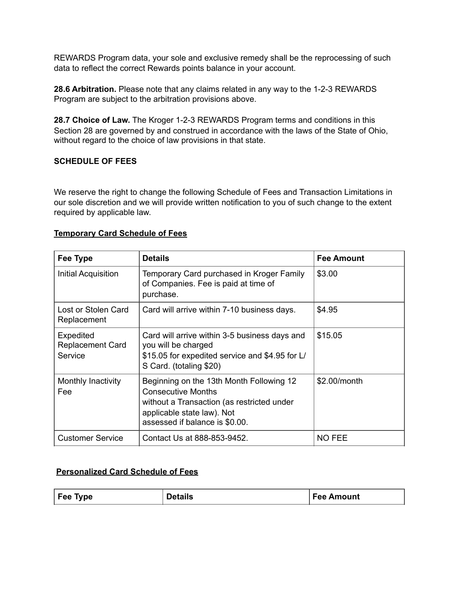REWARDS Program data, your sole and exclusive remedy shall be the reprocessing of such data to reflect the correct Rewards points balance in your account.

**28.6 Arbitration.** Please note that any claims related in any way to the 1-2-3 REWARDS Program are subject to the arbitration provisions above.

**28.7 Choice of Law.** The Kroger 1-2-3 REWARDS Program terms and conditions in this Section 28 are governed by and construed in accordance with the laws of the State of Ohio, without regard to the choice of law provisions in that state.

### **SCHEDULE OF FEES**

We reserve the right to change the following Schedule of Fees and Transaction Limitations in our sole discretion and we will provide written notification to you of such change to the extent required by applicable law.

| Fee Type                                        | <b>Details</b>                                                                                                                                                                      | <b>Fee Amount</b> |
|-------------------------------------------------|-------------------------------------------------------------------------------------------------------------------------------------------------------------------------------------|-------------------|
| Initial Acquisition                             | Temporary Card purchased in Kroger Family<br>of Companies. Fee is paid at time of<br>purchase.                                                                                      | \$3.00            |
| Lost or Stolen Card<br>Replacement              | Card will arrive within 7-10 business days.                                                                                                                                         | \$4.95            |
| Expedited<br><b>Replacement Card</b><br>Service | Card will arrive within 3-5 business days and<br>you will be charged<br>\$15.05 for expedited service and \$4.95 for L/<br>S Card. (totaling \$20)                                  | \$15.05           |
| Monthly Inactivity<br>Fee                       | Beginning on the 13th Month Following 12<br><b>Consecutive Months</b><br>without a Transaction (as restricted under<br>applicable state law). Not<br>assessed if balance is \$0.00. | \$2.00/month      |
| <b>Customer Service</b>                         | Contact Us at 888-853-9452.                                                                                                                                                         | <b>NO FEE</b>     |

## **Temporary Card Schedule of Fees**

## **Personalized Card Schedule of Fees**

| Fee Type | <b>Details</b> | Fee Amount |
|----------|----------------|------------|
|          |                |            |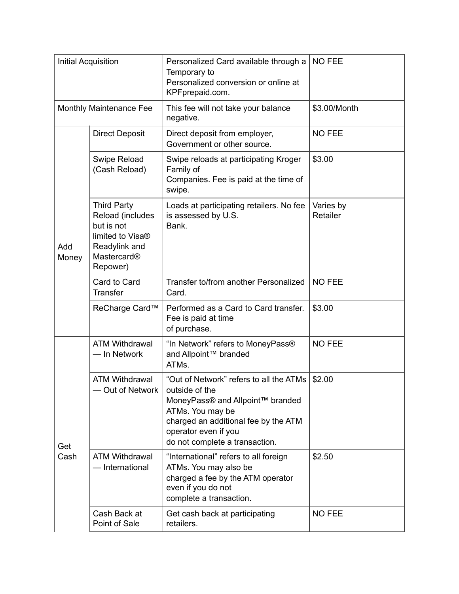| <b>Initial Acquisition</b> |                                                                                                                                  | Personalized Card available through a<br>Temporary to<br>Personalized conversion or online at<br>KPFprepaid.com.                                                                                                    | <b>NO FEE</b> |
|----------------------------|----------------------------------------------------------------------------------------------------------------------------------|---------------------------------------------------------------------------------------------------------------------------------------------------------------------------------------------------------------------|---------------|
| Monthly Maintenance Fee    |                                                                                                                                  | This fee will not take your balance<br>negative.                                                                                                                                                                    | \$3.00/Month  |
|                            | <b>Direct Deposit</b>                                                                                                            | Direct deposit from employer,<br>Government or other source.                                                                                                                                                        | <b>NO FEE</b> |
|                            | Swipe Reload<br>(Cash Reload)                                                                                                    | Swipe reloads at participating Kroger<br>Family of<br>Companies. Fee is paid at the time of<br>swipe.                                                                                                               | \$3.00        |
| Add<br>Money               | <b>Third Party</b><br>Reload (includes<br>but is not<br>limited to Visa <sup>®</sup><br>Readylink and<br>Mastercard®<br>Repower) | Loads at participating retailers. No fee<br>Varies by<br>Retailer<br>is assessed by U.S.<br>Bank.                                                                                                                   |               |
|                            | Card to Card<br><b>Transfer</b>                                                                                                  | Transfer to/from another Personalized<br>Card.                                                                                                                                                                      | <b>NO FEE</b> |
|                            | ReCharge Card™                                                                                                                   | Performed as a Card to Card transfer.<br>Fee is paid at time<br>of purchase.                                                                                                                                        | \$3.00        |
| Get<br>Cash                | <b>ATM Withdrawal</b><br>- In Network                                                                                            | "In Network" refers to MoneyPass®<br>and Allpoint™ branded<br>ATMs.                                                                                                                                                 | <b>NO FEE</b> |
|                            | <b>ATM Withdrawal</b><br>Out of Network                                                                                          | "Out of Network" refers to all the ATMs<br>outside of the<br>MoneyPass® and Allpoint™ branded<br>ATMs. You may be<br>charged an additional fee by the ATM<br>operator even if you<br>do not complete a transaction. | \$2.00        |
|                            | <b>ATM Withdrawal</b><br>- International                                                                                         | "International" refers to all foreign<br>ATMs. You may also be<br>charged a fee by the ATM operator<br>even if you do not<br>complete a transaction.                                                                | \$2.50        |
|                            | Cash Back at<br>Point of Sale                                                                                                    | Get cash back at participating<br>retailers.                                                                                                                                                                        | <b>NO FEE</b> |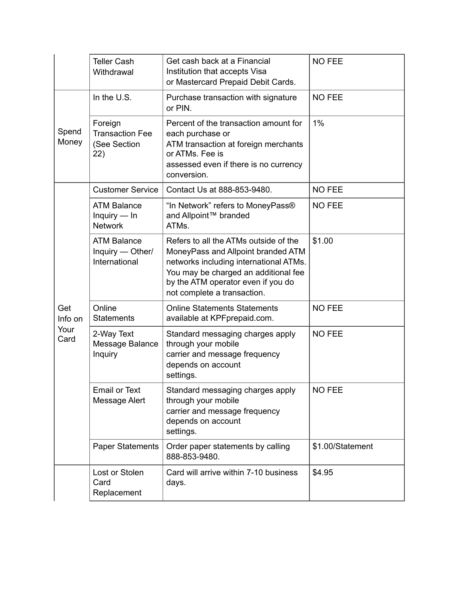|                                | <b>Teller Cash</b><br>Withdrawal                         | Get cash back at a Financial<br>Institution that accepts Visa<br>or Mastercard Prepaid Debit Cards.                                                                                                                                | <b>NO FEE</b>    |
|--------------------------------|----------------------------------------------------------|------------------------------------------------------------------------------------------------------------------------------------------------------------------------------------------------------------------------------------|------------------|
|                                | In the U.S.                                              | Purchase transaction with signature<br>or PIN.                                                                                                                                                                                     | <b>NO FEE</b>    |
| Spend<br>Money                 | Foreign<br><b>Transaction Fee</b><br>(See Section<br>22) | Percent of the transaction amount for<br>each purchase or<br>ATM transaction at foreign merchants<br>or ATMs. Fee is<br>assessed even if there is no currency<br>conversion.                                                       | 1%               |
|                                | <b>Customer Service</b>                                  | Contact Us at 888-853-9480.                                                                                                                                                                                                        | <b>NO FEE</b>    |
| Get<br>Info on<br>Your<br>Card | <b>ATM Balance</b><br>Inquiry $-$ In<br><b>Network</b>   | "In Network" refers to MoneyPass®<br>and Allpoint™ branded<br>ATMs.                                                                                                                                                                | <b>NO FEE</b>    |
|                                | <b>ATM Balance</b><br>Inquiry - Other/<br>International  | Refers to all the ATMs outside of the<br>MoneyPass and Allpoint branded ATM<br>networks including international ATMs.<br>You may be charged an additional fee<br>by the ATM operator even if you do<br>not complete a transaction. | \$1.00           |
|                                | Online<br><b>Statements</b>                              | <b>Online Statements Statements</b><br>available at KPF prepaid.com.                                                                                                                                                               | <b>NO FEE</b>    |
|                                | 2-Way Text<br>Message Balance<br>Inquiry                 | Standard messaging charges apply<br>through your mobile<br>carrier and message frequency<br>depends on account<br>settings.                                                                                                        | <b>NO FEE</b>    |
|                                | <b>Email or Text</b><br>Message Alert                    | Standard messaging charges apply<br>through your mobile<br>carrier and message frequency<br>depends on account<br>settings.                                                                                                        | <b>NO FEE</b>    |
|                                | <b>Paper Statements</b>                                  | Order paper statements by calling<br>888-853-9480.                                                                                                                                                                                 | \$1.00/Statement |
|                                | Lost or Stolen<br>Card<br>Replacement                    | Card will arrive within 7-10 business<br>days.                                                                                                                                                                                     | \$4.95           |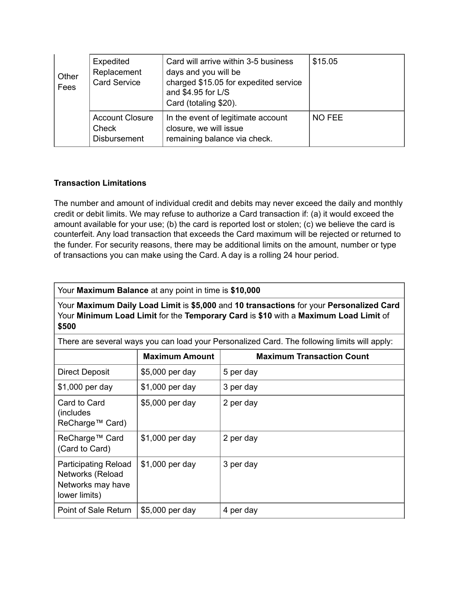| Other<br>Fees | Expedited<br>Replacement<br><b>Card Service</b>               | Card will arrive within 3-5 business<br>days and you will be<br>charged \$15.05 for expedited service<br>and \$4.95 for L/S<br>Card (totaling \$20). | \$15.05 |
|---------------|---------------------------------------------------------------|------------------------------------------------------------------------------------------------------------------------------------------------------|---------|
|               | <b>Account Closure</b><br><b>Check</b><br><b>Disbursement</b> | In the event of legitimate account<br>closure, we will issue<br>remaining balance via check.                                                         | NO FEE  |

## **Transaction Limitations**

The number and amount of individual credit and debits may never exceed the daily and monthly credit or debit limits. We may refuse to authorize a Card transaction if: (a) it would exceed the amount available for your use; (b) the card is reported lost or stolen; (c) we believe the card is counterfeit. Any load transaction that exceeds the Card maximum will be rejected or returned to the funder. For security reasons, there may be additional limits on the amount, number or type of transactions you can make using the Card. A day is a rolling 24 hour period.

Your **Maximum Balance** at any point in time is **\$10,000**

Your **Maximum Daily Load Limit** is **\$5,000** and **10 transactions** for your **Personalized Card**  Your **Minimum Load Limit** for the **Temporary Card** is **\$10** with a **Maximum Load Limit** of **\$500**

There are several ways you can load your Personalized Card. The following limits will apply:

|                                                                                              | <b>Maximum Amount</b> | <b>Maximum Transaction Count</b> |
|----------------------------------------------------------------------------------------------|-----------------------|----------------------------------|
| <b>Direct Deposit</b>                                                                        | \$5,000 per day       | 5 per day                        |
| \$1,000 per day                                                                              | \$1,000 per day       | 3 per day                        |
| Card to Card<br>(includes)<br>ReCharge™ Card)                                                | \$5,000 per day       | 2 per day                        |
| ReCharge™ Card<br>(Card to Card)                                                             | \$1,000 per day       | 2 per day                        |
| <b>Participating Reload</b><br><b>Networks (Reload</b><br>Networks may have<br>lower limits) | \$1,000 per day       | 3 per day                        |
| Point of Sale Return                                                                         | \$5,000 per day       | 4 per day                        |